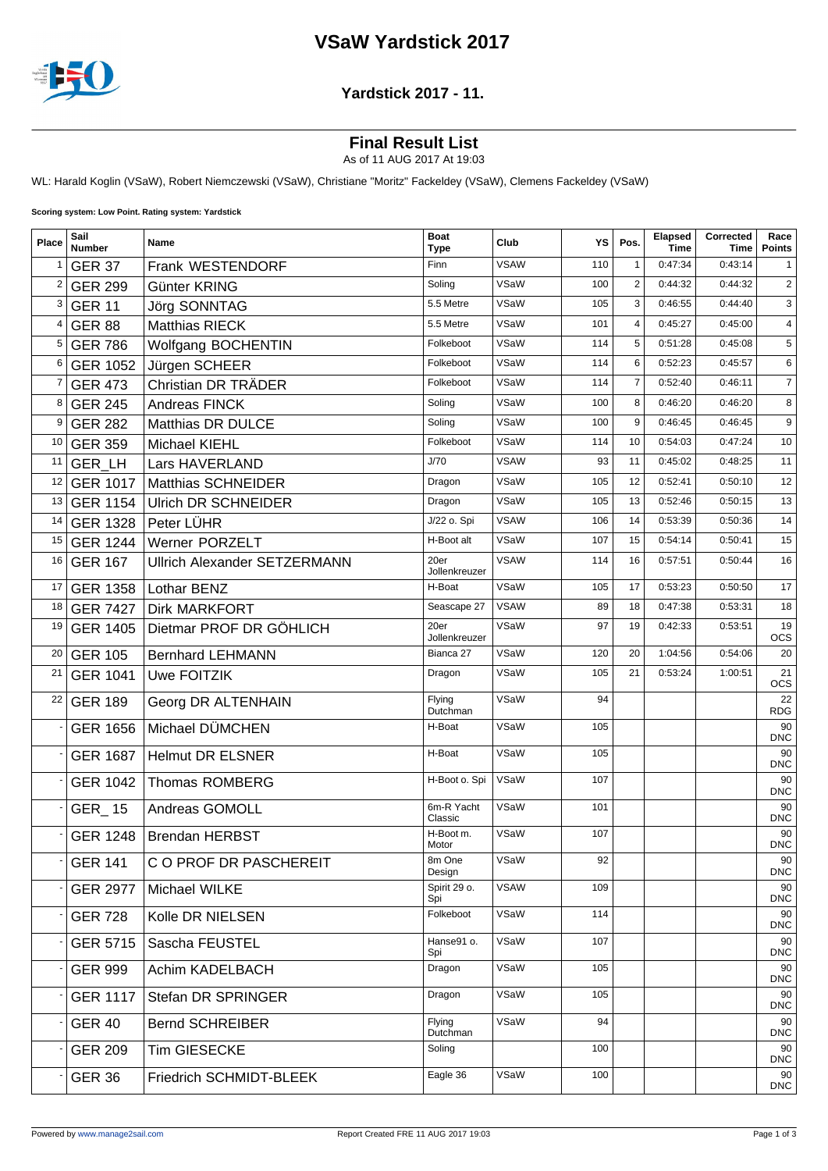# **VSaW Yardstick 2017**



#### **Yardstick 2017 - 11.**

### **Final Result List**

As of 11 AUG 2017 At 19:03

WL: Harald Koglin (VSaW), Robert Niemczewski (VSaW), Christiane "Moritz" Fackeldey (VSaW), Clemens Fackeldey (VSaW)

**Scoring system: Low Point. Rating system: Yardstick**

| Place          | Sail<br><b>Number</b> | Name                                | <b>Boat</b><br><b>Type</b> | Club        | YS  | Pos.           | Elapsed<br>Time | Corrected<br>Time | Race<br><b>Points</b> |
|----------------|-----------------------|-------------------------------------|----------------------------|-------------|-----|----------------|-----------------|-------------------|-----------------------|
| $\mathbf{1}$   | <b>GER 37</b>         | Frank WESTENDORF                    | Finn                       | VSAW        | 110 | $\mathbf{1}$   | 0:47:34         | 0:43:14           | 1                     |
| $\overline{2}$ | <b>GER 299</b>        | Günter KRING                        | Soling                     | VSaW        | 100 | 2              | 0:44:32         | 0:44:32           | $\overline{2}$        |
| 3              | <b>GER 11</b>         | Jörg SONNTAG                        | 5.5 Metre                  | VSaW        | 105 | 3              | 0:46:55         | 0:44:40           | 3                     |
| 4              | <b>GER 88</b>         | <b>Matthias RIECK</b>               | 5.5 Metre                  | VSaW        | 101 | $\overline{4}$ | 0:45:27         | 0:45:00           | $\overline{4}$        |
| 5              | <b>GER 786</b>        | Wolfgang BOCHENTIN                  | Folkeboot                  | VSaW        | 114 | 5              | 0:51:28         | 0:45:08           | 5                     |
| 6              | <b>GER 1052</b>       | Jürgen SCHEER                       | Folkeboot                  | VSaW        | 114 | 6              | 0:52:23         | 0:45:57           | 6                     |
| 7              | <b>GER 473</b>        | Christian DR TRÄDER                 | Folkeboot                  | VSaW        | 114 | $\overline{7}$ | 0:52:40         | 0:46:11           | 7                     |
| 8              | <b>GER 245</b>        | <b>Andreas FINCK</b>                | Soling                     | VSaW        | 100 | 8              | 0:46:20         | 0:46:20           | 8                     |
| 9              | <b>GER 282</b>        | Matthias DR DULCE                   | Soling                     | VSaW        | 100 | 9              | 0:46:45         | 0:46:45           | 9                     |
| 10             | <b>GER 359</b>        | Michael KIEHL                       | Folkeboot                  | VSaW        | 114 | 10             | 0:54:03         | 0:47:24           | 10                    |
| 11             | <b>GER LH</b>         | Lars HAVERLAND                      | J/70                       | <b>VSAW</b> | 93  | 11             | 0:45:02         | 0:48:25           | 11                    |
| 12             | <b>GER 1017</b>       | <b>Matthias SCHNEIDER</b>           | Dragon                     | VSaW        | 105 | 12             | 0:52:41         | 0:50:10           | 12                    |
| 13             | <b>GER 1154</b>       | <b>Ulrich DR SCHNEIDER</b>          | Dragon                     | VSaW        | 105 | 13             | 0:52:46         | 0:50:15           | 13                    |
| 14             | <b>GER 1328</b>       | Peter LÜHR                          | J/22 o. Spi                | <b>VSAW</b> | 106 | 14             | 0:53:39         | 0:50:36           | 14                    |
| 15             | <b>GER 1244</b>       | Werner PORZELT                      | H-Boot alt                 | VSaW        | 107 | 15             | 0:54:14         | 0:50:41           | 15                    |
| 16             | <b>GER 167</b>        | <b>Ullrich Alexander SETZERMANN</b> | 20er<br>Jollenkreuzer      | <b>VSAW</b> | 114 | 16             | 0:57:51         | 0:50:44           | 16                    |
| 17             | <b>GER 1358</b>       | Lothar BENZ                         | H-Boat                     | VSaW        | 105 | 17             | 0:53:23         | 0:50:50           | 17                    |
| 18             | <b>GER 7427</b>       | <b>Dirk MARKFORT</b>                | Seascape 27                | <b>VSAW</b> | 89  | 18             | 0:47:38         | 0:53:31           | 18                    |
| 19             | <b>GER 1405</b>       | Dietmar PROF DR GÖHLICH             | 20er<br>Jollenkreuzer      | VSaW        | 97  | 19             | 0:42:33         | 0:53:51           | 19<br><b>OCS</b>      |
| 20             | <b>GER 105</b>        | <b>Bernhard LEHMANN</b>             | Bianca 27                  | VSaW        | 120 | 20             | 1:04:56         | 0:54:06           | 20                    |
| 21             | <b>GER 1041</b>       | Uwe FOITZIK                         | Dragon                     | VSaW        | 105 | 21             | 0:53:24         | 1:00:51           | 21<br><b>OCS</b>      |
| 22             | <b>GER 189</b>        | Georg DR ALTENHAIN                  | Flying<br>Dutchman         | VSaW        | 94  |                |                 |                   | 22<br><b>RDG</b>      |
|                | <b>GER 1656</b>       | Michael DÜMCHEN                     | H-Boat                     | VSaW        | 105 |                |                 |                   | 90<br><b>DNC</b>      |
|                | <b>GER 1687</b>       | <b>Helmut DR ELSNER</b>             | H-Boat                     | VSaW        | 105 |                |                 |                   | 90<br><b>DNC</b>      |
|                | <b>GER 1042</b>       | <b>Thomas ROMBERG</b>               | H-Boot o. Spi              | VSaW        | 107 |                |                 |                   | 90<br><b>DNC</b>      |
|                | GER_15                | Andreas GOMOLL                      | 6m-R Yacht<br>Classic      | VSaW        | 101 |                |                 |                   | 90<br><b>DNC</b>      |
|                | <b>GER 1248</b>       | <b>Brendan HERBST</b>               | H-Boot m.<br>Motor         | VSaW        | 107 |                |                 |                   | 90<br><b>DNC</b>      |
|                | <b>GER 141</b>        | C O PROF DR PASCHEREIT              | 8m One<br>Design           | VSaW        | 92  |                |                 |                   | 90<br><b>DNC</b>      |
|                | <b>GER 2977</b>       | Michael WILKE                       | Spirit 29 o.<br>Spi        | <b>VSAW</b> | 109 |                |                 |                   | 90<br><b>DNC</b>      |
|                | <b>GER 728</b>        | Kolle DR NIELSEN                    | Folkeboot                  | VSaW        | 114 |                |                 |                   | 90<br><b>DNC</b>      |
|                | GER 5715              | Sascha FEUSTEL                      | Hanse91 o.<br>Spi          | VSaW        | 107 |                |                 |                   | 90<br><b>DNC</b>      |
|                | <b>GER 999</b>        | Achim KADELBACH                     | Dragon                     | VSaW        | 105 |                |                 |                   | 90<br><b>DNC</b>      |
|                | <b>GER 1117</b>       | Stefan DR SPRINGER                  | Dragon                     | VSaW        | 105 |                |                 |                   | 90<br><b>DNC</b>      |
|                | <b>GER 40</b>         | <b>Bernd SCHREIBER</b>              | <b>Flying</b><br>Dutchman  | VSaW        | 94  |                |                 |                   | 90<br><b>DNC</b>      |
|                | <b>GER 209</b>        | Tim GIESECKE                        | Soling                     |             | 100 |                |                 |                   | 90<br><b>DNC</b>      |
|                | <b>GER 36</b>         | Friedrich SCHMIDT-BLEEK             | Eagle 36                   | VSaW        | 100 |                |                 |                   | 90<br><b>DNC</b>      |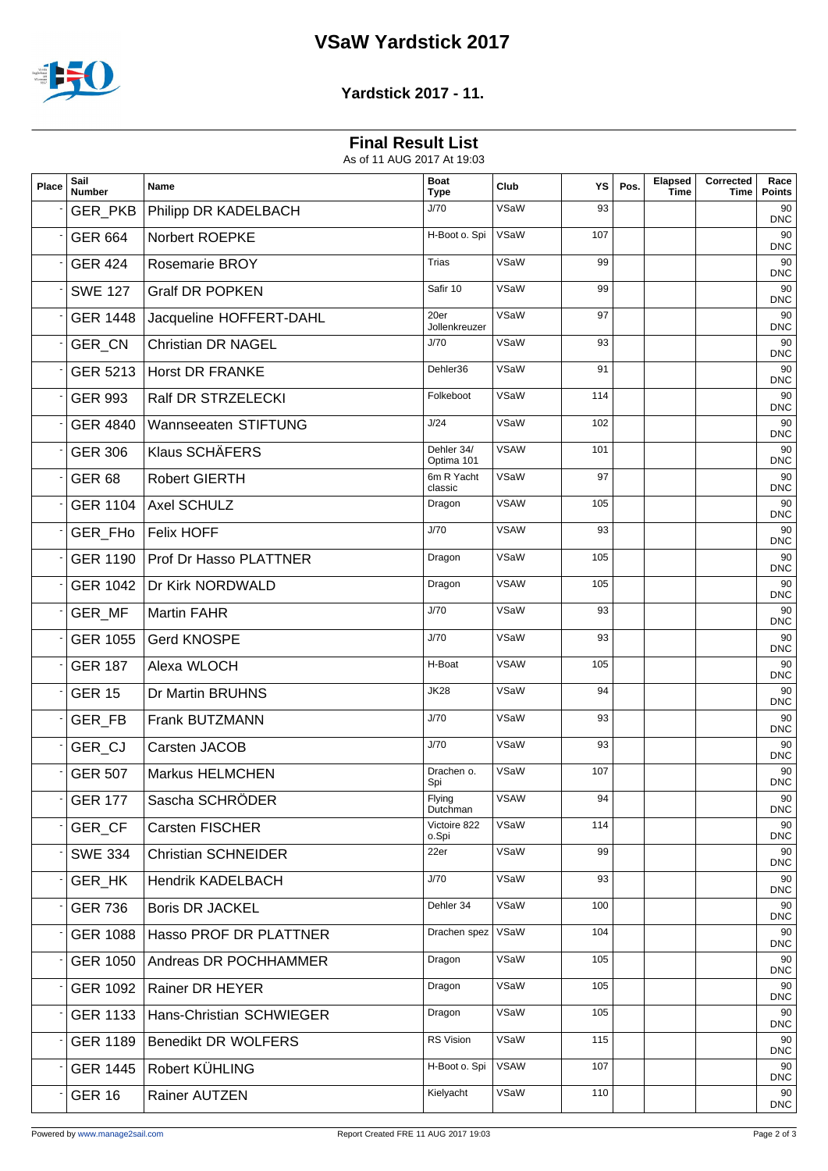# **VSaW Yardstick 2017**



### **Yardstick 2017 - 11.**

## **Final Result List**

As of 11 AUG 2017 At 19:03

| Place | Sail<br><b>Number</b> | Name                          | <b>Boat</b><br><b>Type</b> | Club        | YS  | Pos. | <b>Elapsed</b><br><b>Time</b> | Corrected<br>Time | Race<br><b>Points</b> |
|-------|-----------------------|-------------------------------|----------------------------|-------------|-----|------|-------------------------------|-------------------|-----------------------|
|       | GER_PKB               | Philipp DR KADELBACH          | J/70                       | VSaW        | 93  |      |                               |                   | 90<br><b>DNC</b>      |
|       | <b>GER 664</b>        | Norbert ROEPKE                | H-Boot o. Spi              | VSaW        | 107 |      |                               |                   | 90<br><b>DNC</b>      |
|       | <b>GER 424</b>        | <b>Rosemarie BROY</b>         | <b>Trias</b>               | VSaW        | 99  |      |                               |                   | 90<br><b>DNC</b>      |
|       | <b>SWE 127</b>        | <b>Gralf DR POPKEN</b>        | Safir 10                   | VSaW        | 99  |      |                               |                   | 90<br><b>DNC</b>      |
|       | <b>GER 1448</b>       | Jacqueline HOFFERT-DAHL       | 20er<br>Jollenkreuzer      | VSaW        | 97  |      |                               |                   | 90<br><b>DNC</b>      |
|       | GER_CN                | <b>Christian DR NAGEL</b>     | J/70                       | VSaW        | 93  |      |                               |                   | 90<br><b>DNC</b>      |
|       | GER 5213              | <b>Horst DR FRANKE</b>        | Dehler36                   | VSaW        | 91  |      |                               |                   | 90<br><b>DNC</b>      |
|       | <b>GER 993</b>        | Ralf DR STRZELECKI            | Folkeboot                  | VSaW        | 114 |      |                               |                   | 90<br><b>DNC</b>      |
|       | <b>GER 4840</b>       | Wannseeaten STIFTUNG          | J/24                       | VSaW        | 102 |      |                               |                   | 90<br><b>DNC</b>      |
|       | <b>GER 306</b>        | Klaus SCHÄFERS                | Dehler 34/<br>Optima 101   | <b>VSAW</b> | 101 |      |                               |                   | 90<br><b>DNC</b>      |
|       | <b>GER 68</b>         | <b>Robert GIERTH</b>          | 6m R Yacht<br>classic      | VSaW        | 97  |      |                               |                   | 90<br><b>DNC</b>      |
|       | <b>GER 1104</b>       | Axel SCHULZ                   | Dragon                     | <b>VSAW</b> | 105 |      |                               |                   | 90<br><b>DNC</b>      |
|       |                       | GER_FHo   Felix HOFF          | J/70                       | <b>VSAW</b> | 93  |      |                               |                   | 90<br><b>DNC</b>      |
|       | <b>GER 1190</b>       | <b>Prof Dr Hasso PLATTNER</b> | Dragon                     | VSaW        | 105 |      |                               |                   | 90<br><b>DNC</b>      |
|       | <b>GER 1042</b>       | Dr Kirk NORDWALD              | Dragon                     | <b>VSAW</b> | 105 |      |                               |                   | 90<br><b>DNC</b>      |
|       | GER_MF                | <b>Martin FAHR</b>            | J/70                       | VSaW        | 93  |      |                               |                   | 90<br><b>DNC</b>      |
|       | <b>GER 1055</b>       | Gerd KNOSPE                   | J/70                       | VSaW        | 93  |      |                               |                   | 90<br><b>DNC</b>      |
|       | <b>GER 187</b>        | Alexa WLOCH                   | H-Boat                     | <b>VSAW</b> | 105 |      |                               |                   | 90<br><b>DNC</b>      |
|       | <b>GER 15</b>         | Dr Martin BRUHNS              | <b>JK28</b>                | VSaW        | 94  |      |                               |                   | 90<br><b>DNC</b>      |
|       | GER_FB                | Frank BUTZMANN                | J/70                       | VSaW        | 93  |      |                               |                   | 90<br><b>DNC</b>      |
|       | GER_CJ                | Carsten JACOB                 | J/70                       | VSaW        | 93  |      |                               |                   | 90<br><b>DNC</b>      |
|       | <b>GER 507</b>        | <b>Markus HELMCHEN</b>        | Drachen o.<br>Spi          | VSaW        | 107 |      |                               |                   | 90<br><b>DNC</b>      |
|       | <b>GER 177</b>        | Sascha SCHRÖDER               | Flying<br>Dutchman         | <b>VSAW</b> | 94  |      |                               |                   | $90\,$<br><b>DNC</b>  |
|       | GER CF                | Carsten FISCHER               | Victoire 822<br>o.Spi      | VSaW        | 114 |      |                               |                   | 90<br><b>DNC</b>      |
|       | <b>SWE 334</b>        | <b>Christian SCHNEIDER</b>    | 22er                       | VSaW        | 99  |      |                               |                   | 90<br><b>DNC</b>      |
|       | GER_HK                | <b>Hendrik KADELBACH</b>      | J/70                       | VSaW        | 93  |      |                               |                   | 90<br><b>DNC</b>      |
|       | <b>GER 736</b>        | <b>Boris DR JACKEL</b>        | Dehler 34                  | VSaW        | 100 |      |                               |                   | 90<br><b>DNC</b>      |
|       | <b>GER 1088</b>       | Hasso PROF DR PLATTNER        | Drachen spez               | VSaW        | 104 |      |                               |                   | 90<br><b>DNC</b>      |
|       | <b>GER 1050</b>       | Andreas DR POCHHAMMER         | Dragon                     | VSaW        | 105 |      |                               |                   | 90<br><b>DNC</b>      |
|       | <b>GER 1092</b>       | Rainer DR HEYER               | Dragon                     | VSaW        | 105 |      |                               |                   | 90<br><b>DNC</b>      |
|       | <b>GER 1133</b>       | Hans-Christian SCHWIEGER      | Dragon                     | VSaW        | 105 |      |                               |                   | 90<br><b>DNC</b>      |
|       | <b>GER 1189</b>       | <b>Benedikt DR WOLFERS</b>    | RS Vision                  | VSaW        | 115 |      |                               |                   | 90<br><b>DNC</b>      |
|       | <b>GER 1445</b>       | Robert KÜHLING                | H-Boot o. Spi              | <b>VSAW</b> | 107 |      |                               |                   | 90<br><b>DNC</b>      |
|       | <b>GER 16</b>         | Rainer AUTZEN                 | Kielyacht                  | VSaW        | 110 |      |                               |                   | 90<br><b>DNC</b>      |